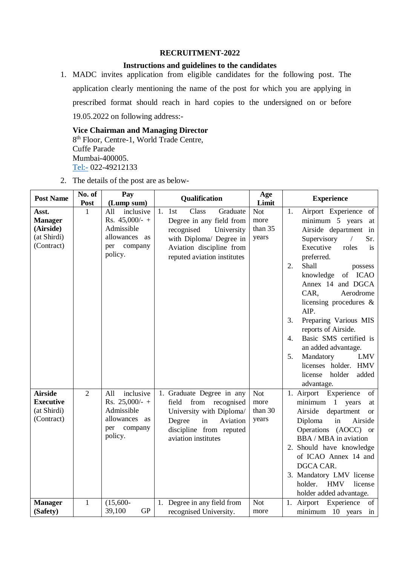#### **RECRUITMENT-2022**

### **Instructions and guidelines to the candidates**

1. MADC invites application from eligible candidates for the following post. The application clearly mentioning the name of the post for which you are applying in prescribed format should reach in hard copies to the undersigned on or before 19.05.2022 on following address:-

**Vice Chairman and Managing Director** 8 th Floor, Centre-1, World Trade Centre, Cuffe Parade Mumbai-400005. <Tel:-> 022-49212133

|  | 2. The details of the post are as below- |  |  |  |  |
|--|------------------------------------------|--|--|--|--|
|--|------------------------------------------|--|--|--|--|

| <b>Post Name</b>                                                  | No. of<br><b>Post</b> | Pay<br>(Lump sum)                                                                                   | Qualification                                                                                                                                                            | Age<br>Limit                           | <b>Experience</b>                                                                                                                                                                                                                                                                                                                                                                                                                                                                                                           |  |
|-------------------------------------------------------------------|-----------------------|-----------------------------------------------------------------------------------------------------|--------------------------------------------------------------------------------------------------------------------------------------------------------------------------|----------------------------------------|-----------------------------------------------------------------------------------------------------------------------------------------------------------------------------------------------------------------------------------------------------------------------------------------------------------------------------------------------------------------------------------------------------------------------------------------------------------------------------------------------------------------------------|--|
| Asst.<br><b>Manager</b><br>(Airside)<br>(at Shirdi)<br>(Contract) | 1                     | inclusive<br>All<br>Rs. $45,000/-$ +<br>Admissible<br>allowances<br>as<br>company<br>per<br>policy. | Class<br>Graduate<br>1.1st<br>Degree in any field from<br>recognised<br>University<br>with Diploma/ Degree in<br>Aviation discipline from<br>reputed aviation institutes | <b>Not</b><br>more<br>than 35<br>years | Airport Experience of<br>1.<br>minimum 5 years<br>at<br>Airside department<br>in<br>Supervisory<br>Sr.<br>$\sqrt{2}$<br>Executive<br>roles<br>is<br>preferred.<br>Shall<br>2.<br>possess<br>knowledge<br>of ICAO<br>Annex 14 and DGCA<br>CAR,<br>Aerodrome<br>licensing procedures $\&$<br>AIP.<br>Preparing Various MIS<br>3.<br>reports of Airside.<br>Basic SMS certified is<br>4.<br>an added advantage.<br>Mandatory<br><b>LMV</b><br>5.<br><b>HMV</b><br>licenses holder.<br>added<br>license<br>holder<br>advantage. |  |
| <b>Airside</b><br><b>Executive</b><br>(at Shirdi)<br>(Contract)   | $\overline{2}$        | inclusive<br>All<br>Rs. $25,000/ - +$<br>Admissible<br>allowances as<br>per<br>company<br>policy.   | 1. Graduate Degree in any<br>field from recognised<br>University with Diploma/<br>Degree<br>in<br>Aviation<br>discipline from reputed<br>aviation institutes             | <b>Not</b><br>more<br>than 30<br>years | 1. Airport<br>Experience<br>of<br>minimum 1<br>years<br>at<br>Airside<br>department<br><b>or</b><br>Diploma<br>in<br>Airside<br>Operations (AOCC) or<br>BBA / MBA in aviation<br>2. Should have knowledge<br>of ICAO Annex 14 and<br>DGCA CAR.<br>3. Mandatory LMV license<br>holder.<br><b>HMV</b><br>license<br>holder added advantage.                                                                                                                                                                                   |  |
| <b>Manager</b><br>(Safety)                                        | 1                     | $(15,600 -$<br>GP<br>39,100                                                                         | 1. Degree in any field from<br>recognised University.                                                                                                                    | <b>Not</b><br>more                     | 1. Airport Experience of<br>minimum 10 years in                                                                                                                                                                                                                                                                                                                                                                                                                                                                             |  |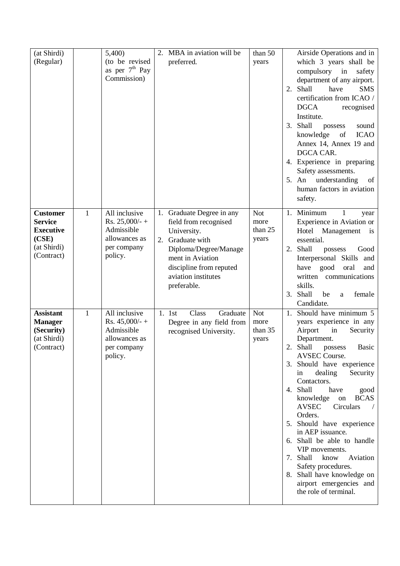| (at Shirdi)<br>(Regular)                                                                    |              | 5,400)<br>(to be revised)<br>as per $7th$ Pay<br>Commission)                                            | 2. MBA in aviation will be<br>preferred.                                                                                                                                                            | than 50<br>years                       |    | Airside Operations and in<br>which 3 years shall be<br>compulsory in<br>safety<br>department of any airport.<br>2. Shall<br>have<br><b>SMS</b><br>certification from ICAO /<br><b>DGCA</b><br>recognised<br>Institute.<br>3. Shall<br>possess<br>sound<br>knowledge<br><b>ICAO</b><br>of<br>Annex 14, Annex 19 and<br>DGCA CAR.<br>4. Experience in preparing<br>Safety assessments.<br>understanding<br>of<br>5. An<br>human factors in aviation<br>safety.                                                                                                          |
|---------------------------------------------------------------------------------------------|--------------|---------------------------------------------------------------------------------------------------------|-----------------------------------------------------------------------------------------------------------------------------------------------------------------------------------------------------|----------------------------------------|----|-----------------------------------------------------------------------------------------------------------------------------------------------------------------------------------------------------------------------------------------------------------------------------------------------------------------------------------------------------------------------------------------------------------------------------------------------------------------------------------------------------------------------------------------------------------------------|
| <b>Customer</b><br><b>Service</b><br><b>Executive</b><br>(CSE)<br>(at Shirdi)<br>(Contract) | $\mathbf{1}$ | All inclusive<br>Rs. $25,000/-$ +<br>Admissible<br>allowances as<br>per company<br>policy.              | 1. Graduate Degree in any<br>field from recognised<br>University.<br>2. Graduate with<br>Diploma/Degree/Manage<br>ment in Aviation<br>discipline from reputed<br>aviation institutes<br>preferable. | <b>Not</b><br>more<br>than 25<br>years |    | 1. Minimum<br>$\mathbf{1}$<br>year<br>Experience in Aviation or<br>Hotel Management<br>is<br>essential.<br>2. Shall<br>possess<br>Good<br>Interpersonal Skills and<br>good<br>have<br>oral<br>and<br>written communications<br>skills.<br>3. Shall<br>be<br>female<br>a<br>Candidate.                                                                                                                                                                                                                                                                                 |
| <b>Assistant</b><br><b>Manager</b><br>(Security)<br>(at Shirdi)<br>(Contract)               | $\mathbf{1}$ | $\overline{All}$ inclusive<br>Rs. $45,000/$ -+<br>Admissible<br>allowances as<br>per company<br>policy. | Class<br>Graduate<br>1. 1st<br>Degree in any field from<br>recognised University.                                                                                                                   | <b>Not</b><br>more<br>than 35<br>years | 2. | 1. Should have minimum 5<br>years experience in any<br>Airport<br>in<br>Security<br>Department.<br>Shall<br>Basic<br>possess<br>AVSEC Course.<br>3. Should have experience<br>dealing<br>Security<br>in<br>Contactors.<br>4. Shall<br>have<br>good<br>knowledge<br><b>BCAS</b><br>on<br><b>AVSEC</b><br>Circulars<br>Orders.<br>5. Should have experience<br>in AEP issuance.<br>6. Shall be able to handle<br>VIP movements.<br>7. Shall<br>know<br>Aviation<br>Safety procedures.<br>8. Shall have knowledge on<br>airport emergencies and<br>the role of terminal. |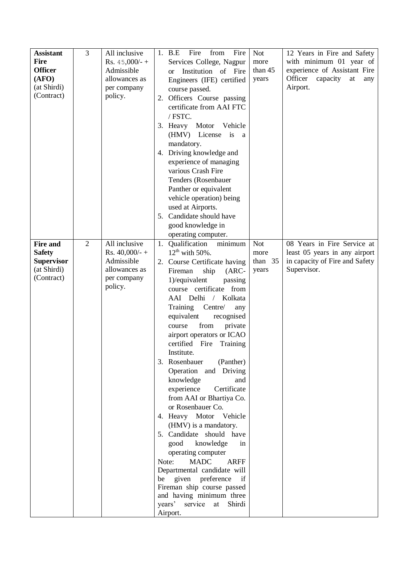| <b>Assistant</b><br><b>Fire</b><br><b>Officer</b><br>(AFO)<br>(at Shirdi)<br>(Contract) | 3              | All inclusive<br>Rs. $45,000/$ - +<br>Admissible<br>allowances as<br>per company<br>policy. | Fire<br>from<br>Fire<br><b>Not</b><br>12 Years in Fire and Safety<br>1. B.E<br>with minimum 01 year of<br>Services College, Nagpur<br>more<br>experience of Assistant Fire<br>than 45<br>Institution of Fire<br><sub>or</sub><br>Officer<br>capacity<br>at<br>years<br>any<br>Engineers (IFE) certified<br>Airport.<br>course passed.<br>Officers Course passing<br>2.<br>certificate from AAI FTC<br>/ FSTC.<br>Motor<br>3. Heavy<br>Vehicle<br>(HMV) License is a<br>mandatory.<br>4. Driving knowledge and<br>experience of managing<br>various Crash Fire<br>Tenders (Rosenbauer<br>Panther or equivalent<br>vehicle operation) being<br>used at Airports.<br>5. Candidate should have<br>good knowledge in<br>operating computer.                                                                                                                                                                                                                                                                                                                  |
|-----------------------------------------------------------------------------------------|----------------|---------------------------------------------------------------------------------------------|---------------------------------------------------------------------------------------------------------------------------------------------------------------------------------------------------------------------------------------------------------------------------------------------------------------------------------------------------------------------------------------------------------------------------------------------------------------------------------------------------------------------------------------------------------------------------------------------------------------------------------------------------------------------------------------------------------------------------------------------------------------------------------------------------------------------------------------------------------------------------------------------------------------------------------------------------------------------------------------------------------------------------------------------------------|
| <b>Fire and</b><br><b>Safety</b><br><b>Supervisor</b><br>(at Shirdi)<br>(Contract)      | $\overline{2}$ | All inclusive<br>Rs. $40,000/ - +$<br>Admissible<br>allowances as<br>per company<br>policy. | 08 Years in Fire Service at<br>Qualification<br>minimum<br><b>Not</b><br>1.<br>$12^{th}$ with 50%.<br>least 05 years in any airport<br>more<br>in capacity of Fire and Safety<br>than $35$<br>Course Certificate having<br>2.<br>Supervisor.<br>years<br>Fireman<br>ship<br>$(ARC-$<br>1)/equivalent<br>passing<br>course certificate from<br>AAI Delhi<br>Kolkata<br>$\sqrt{2}$<br>Training<br>Centre/<br>any<br>equivalent<br>recognised<br>from<br>private<br>course<br>airport operators or ICAO<br>certified Fire Training<br>Institute.<br>3. Rosenbauer<br>(Panther)<br>Operation and Driving<br>knowledge<br>and<br>experience<br>Certificate<br>from AAI or Bhartiya Co.<br>or Rosenbauer Co.<br>4. Heavy Motor Vehicle<br>(HMV) is a mandatory.<br>5. Candidate should have<br>knowledge<br>good<br>in<br>operating computer<br><b>MADC</b><br>Note:<br><b>ARFF</b><br>Departmental candidate will<br>given<br>preference<br>if<br>be<br>Fireman ship course passed<br>and having minimum three<br>years'<br>service at<br>Shirdi<br>Airport. |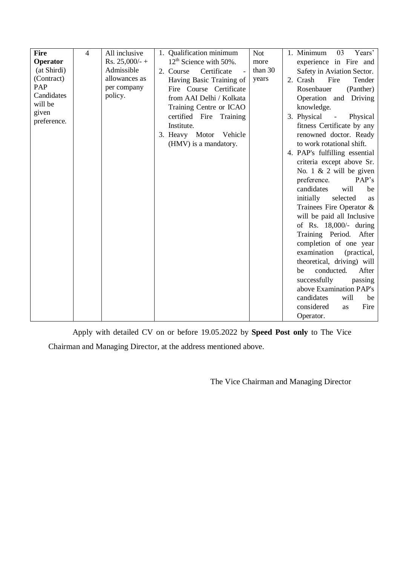| <b>Fire</b> | $\overline{4}$ | All inclusive    | 1. Qualification minimum<br><b>Not</b> | 1. Minimum<br>03<br>Years'            |
|-------------|----------------|------------------|----------------------------------------|---------------------------------------|
| Operator    |                | Rs. $25,000/-$ + | $12th$ Science with 50%.<br>more       | experience in Fire and                |
| (at Shirdi) |                | Admissible       | than 30<br>Certificate<br>2. Course    | Safety in Aviation Sector.            |
| (Contract)  |                | allowances as    | years<br>Having Basic Training of      | 2. Crash<br>Fire<br>Tender            |
| PAP         |                | per company      | Fire Course Certificate                | (Panther)<br>Rosenbauer               |
| Candidates  |                | policy.          | from AAI Delhi / Kolkata               | Operation and Driving                 |
| will be     |                |                  | Training Centre or ICAO                | knowledge.                            |
| given       |                |                  | certified Fire Training                | 3. Physical<br>Physical<br>$\sim$ $-$ |
| preference. |                |                  | Institute.                             | fitness Certificate by any            |
|             |                |                  | 3. Heavy Motor Vehicle                 | renowned doctor. Ready                |
|             |                |                  | (HMV) is a mandatory.                  | to work rotational shift.             |
|             |                |                  |                                        | 4. PAP's fulfilling essential         |
|             |                |                  |                                        | criteria except above Sr.             |
|             |                |                  |                                        | No. $1 \& 2$ will be given            |
|             |                |                  |                                        | PAP's<br>preference.                  |
|             |                |                  |                                        | candidates<br>will<br>be              |
|             |                |                  |                                        | initially<br>selected                 |
|             |                |                  |                                        | as                                    |
|             |                |                  |                                        | Trainees Fire Operator &              |
|             |                |                  |                                        | will be paid all Inclusive            |
|             |                |                  |                                        | of Rs. $18,000/-$ during              |
|             |                |                  |                                        | Training Period. After                |
|             |                |                  |                                        | completion of one year                |
|             |                |                  |                                        | examination<br>(practical,            |
|             |                |                  |                                        | theoretical, driving) will            |
|             |                |                  |                                        | conducted.<br>After<br>be             |
|             |                |                  |                                        | successfully<br>passing               |
|             |                |                  |                                        | above Examination PAP's               |
|             |                |                  |                                        | candidates<br>will<br>be              |
|             |                |                  |                                        | considered<br>Fire<br><b>as</b>       |
|             |                |                  |                                        | Operator.                             |

Apply with detailed CV on or before 19.05.2022 by **Speed Post only** to The Vice Chairman and Managing Director, at the address mentioned above.

The Vice Chairman and Managing Director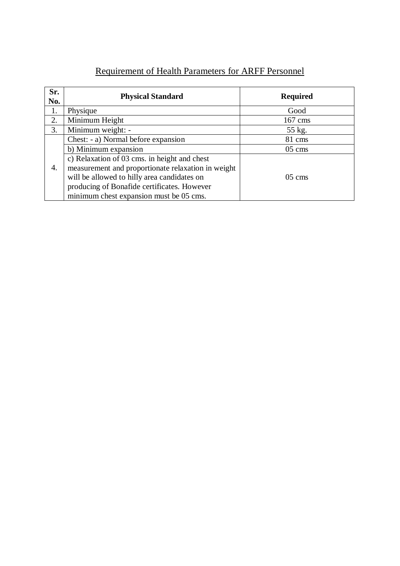| <b>Requirement of Health Parameters for ARFF Personnel</b> |  |  |  |
|------------------------------------------------------------|--|--|--|
|                                                            |  |  |  |

| Sr.<br>No. | <b>Physical Standard</b>                           | <b>Required</b> |
|------------|----------------------------------------------------|-----------------|
| 1.         | Physique                                           | Good            |
| 2.         | Minimum Height                                     | $167$ cms       |
| 3.         | Minimum weight: -                                  | 55 kg.          |
|            | Chest: - a) Normal before expansion                | 81 cms          |
|            | b) Minimum expansion                               | $05 \text{ cm}$ |
|            | c) Relaxation of 03 cms. in height and chest       |                 |
| 4.         | measurement and proportionate relaxation in weight |                 |
|            | will be allowed to hilly area candidates on        | $05 \text{ cm}$ |
|            | producing of Bonafide certificates. However        |                 |
|            | minimum chest expansion must be 05 cms.            |                 |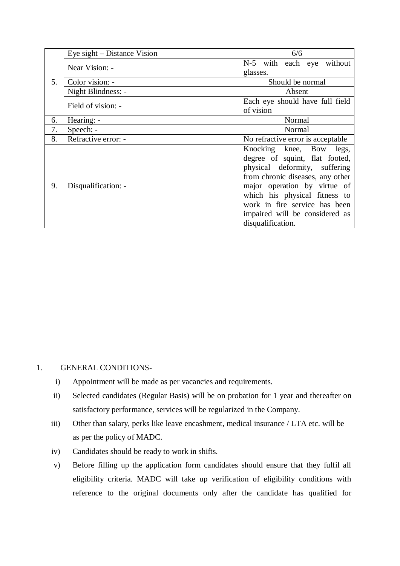|    | Eye sight – Distance Vision | 6/6                                                                                                                                                                                                                                                                                      |  |  |  |  |  |
|----|-----------------------------|------------------------------------------------------------------------------------------------------------------------------------------------------------------------------------------------------------------------------------------------------------------------------------------|--|--|--|--|--|
|    | Near Vision: -              | N-5 with each eye without<br>glasses.                                                                                                                                                                                                                                                    |  |  |  |  |  |
| 5. | Color vision: -             | Should be normal                                                                                                                                                                                                                                                                         |  |  |  |  |  |
|    | Night Blindness: -          | Absent                                                                                                                                                                                                                                                                                   |  |  |  |  |  |
|    | Field of vision: -          | Each eye should have full field<br>of vision                                                                                                                                                                                                                                             |  |  |  |  |  |
| 6. | Hearing: -                  | Normal                                                                                                                                                                                                                                                                                   |  |  |  |  |  |
| 7. | Speech: -                   | Normal                                                                                                                                                                                                                                                                                   |  |  |  |  |  |
| 8. | Refractive error: -         | No refractive error is acceptable                                                                                                                                                                                                                                                        |  |  |  |  |  |
| 9. | Disqualification: -         | Knocking knee, Bow legs,<br>degree of squint, flat footed,<br>physical deformity, suffering<br>from chronic diseases, any other<br>major operation by virtue of<br>which his physical fitness to<br>work in fire service has been<br>impaired will be considered as<br>disqualification. |  |  |  |  |  |

#### 1. GENERAL CONDITIONS-

- i) Appointment will be made as per vacancies and requirements.
- ii) Selected candidates (Regular Basis) will be on probation for 1 year and thereafter on satisfactory performance, services will be regularized in the Company.
- iii) Other than salary, perks like leave encashment, medical insurance / LTA etc. will be as per the policy of MADC.
- iv) Candidates should be ready to work in shifts.
- v) Before filling up the application form candidates should ensure that they fulfil all eligibility criteria. MADC will take up verification of eligibility conditions with reference to the original documents only after the candidate has qualified for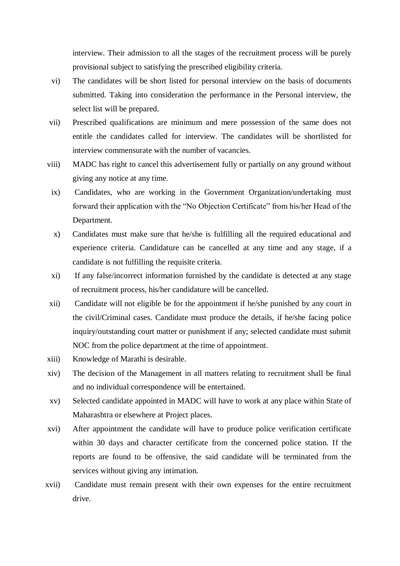interview. Their admission to all the stages of the recruitment process will be purely provisional subject to satisfying the prescribed eligibility criteria.

- vi) The candidates will be short listed for personal interview on the basis of documents submitted. Taking into consideration the performance in the Personal interview, the select list will be prepared.
- vii) Prescribed qualifications are minimum and mere possession of the same does not entitle the candidates called for interview. The candidates will be shortlisted for interview commensurate with the number of vacancies.
- viii) MADC has right to cancel this advertisement fully or partially on any ground without giving any notice at any time.
	- ix) Candidates, who are working in the Government Organization/undertaking must forward their application with the "No Objection Certificate" from his/her Head of the Department.
	- x) Candidates must make sure that he/she is fulfilling all the required educational and experience criteria. Candidature can be cancelled at any time and any stage, if a candidate is not fulfilling the requisite criteria.
	- xi) If any false/incorrect information furnished by the candidate is detected at any stage of recruitment process, his/her candidature will be cancelled.
- xii) Candidate will not eligible be for the appointment if he/she punished by any court in the civil/Criminal cases. Candidate must produce the details, if he/she facing police inquiry/outstanding court matter or punishment if any; selected candidate must submit NOC from the police department at the time of appointment.
- xiii) Knowledge of Marathi is desirable.
- xiv) The decision of the Management in all matters relating to recruitment shall be final and no individual correspondence will be entertained.
- xv) Selected candidate appointed in MADC will have to work at any place within State of Maharashtra or elsewhere at Project places.
- xvi) After appointment the candidate will have to produce police verification certificate within 30 days and character certificate from the concerned police station. If the reports are found to be offensive, the said candidate will be terminated from the services without giving any intimation.
- xvii) Candidate must remain present with their own expenses for the entire recruitment drive.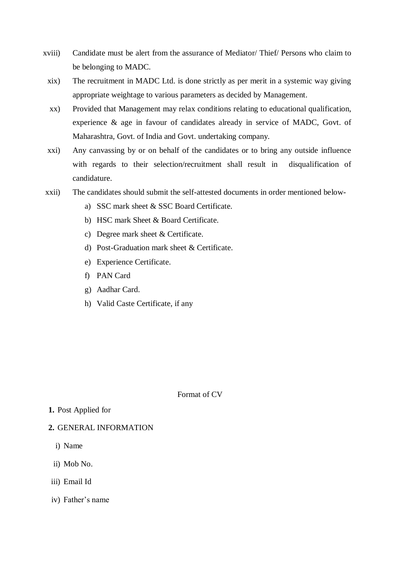- xviii) Candidate must be alert from the assurance of Mediator/ Thief/ Persons who claim to be belonging to MADC.
	- xix) The recruitment in MADC Ltd. is done strictly as per merit in a systemic way giving appropriate weightage to various parameters as decided by Management.
	- xx) Provided that Management may relax conditions relating to educational qualification, experience & age in favour of candidates already in service of MADC, Govt. of Maharashtra, Govt. of India and Govt. undertaking company.
- xxi) Any canvassing by or on behalf of the candidates or to bring any outside influence with regards to their selection/recruitment shall result in disqualification of candidature.
- xxii) The candidates should submit the self-attested documents in order mentioned below
	- a) SSC mark sheet & SSC Board Certificate.
	- b) HSC mark Sheet & Board Certificate.
	- c) Degree mark sheet & Certificate.
	- d) Post-Graduation mark sheet & Certificate.
	- e) Experience Certificate.
	- f) PAN Card
	- g) Aadhar Card.
	- h) Valid Caste Certificate, if any

Format of CV

- **1.** Post Applied for
- **2.** GENERAL INFORMATION
	- i) Name
	- ii) Mob No.
- iii) Email Id
- iv) Father's name